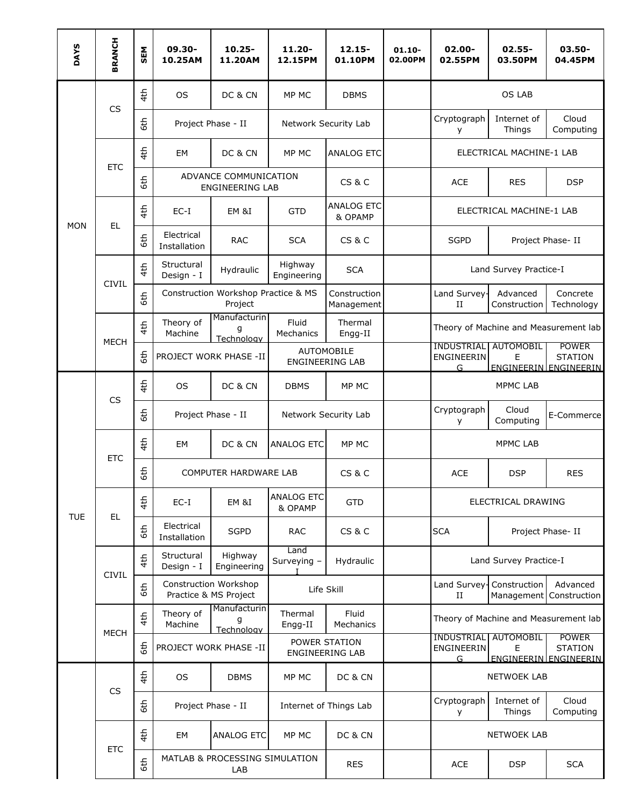| <b>DAYS</b> | <b>BRANCH</b> | SEM | 09.30-<br>10.25AM                              | $10.25 -$<br>11.20AM                            | $11.20 -$<br>12.15PM                    | $12.15 -$<br>01.10PM         | $01.10 -$<br>02.00PM | 02.00-<br>02.55PM                                                                                                         | $02.55 -$<br>03.50PM      | $03.50 -$<br>04.45PM                                    |  |
|-------------|---------------|-----|------------------------------------------------|-------------------------------------------------|-----------------------------------------|------------------------------|----------------------|---------------------------------------------------------------------------------------------------------------------------|---------------------------|---------------------------------------------------------|--|
|             |               | 4th | <b>OS</b>                                      | DC & CN                                         | MP MC                                   | <b>DBMS</b>                  |                      |                                                                                                                           | <b>OS LAB</b>             |                                                         |  |
|             | <b>CS</b>     | 6th | Project Phase - II                             |                                                 | Network Security Lab                    |                              |                      | Cryptograph<br>У                                                                                                          | Internet of<br>Things     | Cloud<br>Computing                                      |  |
|             | <b>ETC</b>    | 4th | EM                                             | DC & CN                                         | MP MC                                   | <b>ANALOG ETC</b>            |                      |                                                                                                                           | ELECTRICAL MACHINE-1 LAB  |                                                         |  |
|             |               | 6th |                                                | ADVANCE COMMUNICATION<br><b>ENGINEERING LAB</b> | CS & C                                  |                              | <b>ACE</b>           | <b>RES</b>                                                                                                                | <b>DSP</b>                |                                                         |  |
| <b>MON</b>  | EL.           | 4th | $EC-I$                                         | EM &I                                           | <b>GTD</b>                              | <b>ANALOG ETC</b><br>& OPAMP |                      | ELECTRICAL MACHINE-1 LAB                                                                                                  |                           |                                                         |  |
|             |               | 6th | Electrical<br>Installation                     | <b>RAC</b>                                      | <b>SCA</b>                              | CS & C                       |                      | <b>SGPD</b>                                                                                                               |                           | Project Phase-II                                        |  |
|             | <b>CIVIL</b>  | 4th | Structural<br>Design - I                       | Hydraulic                                       | Highway<br>Engineering                  | <b>SCA</b>                   |                      | Land Survey Practice-I                                                                                                    |                           |                                                         |  |
|             |               | 6th | Construction Workshop Practice & MS<br>Project |                                                 |                                         | Construction<br>Management   |                      | Land Survey-<br>П                                                                                                         | Advanced<br>Construction  | Concrete<br>Technology                                  |  |
|             | <b>MECH</b>   | 4th | Theory of<br>Machine                           | Manufacturin<br>q<br>Technology                 | Fluid<br>Mechanics                      | Thermal<br>Engg-II           |                      | Theory of Machine and Measurement lab                                                                                     |                           |                                                         |  |
|             |               | 6th | PROJECT WORK PHASE -II                         |                                                 | AUTOMOBILE<br><b>ENGINEERING LAB</b>    |                              |                      | <b>INDUSTRIAL   AUTOMOBIL</b><br>ENGINEERIN<br>G.                                                                         | E                         | <b>POWER</b><br><b>STATION</b><br>ENGINEERIN ENGINEERIN |  |
|             | <b>CS</b>     | 4th | <b>OS</b>                                      | DC & CN                                         | <b>DBMS</b>                             | MP MC                        |                      |                                                                                                                           | <b>MPMC LAB</b>           |                                                         |  |
|             |               | 6th | Project Phase - II                             |                                                 | Network Security Lab                    |                              |                      | Cryptograph<br>У                                                                                                          | Cloud<br>Computing        | E-Commerce                                              |  |
|             | <b>ETC</b>    | 4th | <b>EM</b>                                      | DC & CN                                         | <b>ANALOG ETC</b>                       | MP MC                        |                      |                                                                                                                           | <b>MPMC LAB</b>           |                                                         |  |
|             |               | 6th | <b>COMPUTER HARDWARE LAB</b>                   |                                                 |                                         | <b>CS &amp; C</b>            |                      | <b>ACE</b>                                                                                                                | <b>DSP</b>                | <b>RES</b>                                              |  |
| <b>TUE</b>  | EL.           | 4th | $EC-I$                                         | EM &I                                           | <b>ANALOG ETC</b><br>& OPAMP            | <b>GTD</b>                   |                      |                                                                                                                           | ELECTRICAL DRAWING        |                                                         |  |
|             |               | 6th | Electrical<br>Installation                     | <b>SGPD</b>                                     | <b>RAC</b>                              | <b>CS &amp; C</b>            |                      | <b>SCA</b>                                                                                                                |                           | Project Phase- II                                       |  |
|             | <b>CIVIL</b>  | 4th | Structural<br>Design - I                       | Highway<br>Engineering                          | Land<br>Surveying -                     | Hydraulic                    |                      |                                                                                                                           | Land Survey Practice-I    |                                                         |  |
|             |               | 6th |                                                | Construction Workshop<br>Practice & MS Project  |                                         | Life Skill                   |                      | $_{\rm II}$                                                                                                               | Land Survey- Construction | Advanced<br>Management Construction                     |  |
|             | <b>MECH</b>   | 4th | Theory of<br>Machine                           | Manufacturin<br>g<br>Technology                 | Thermal<br>Engg-II                      | Fluid<br>Mechanics           |                      |                                                                                                                           |                           | Theory of Machine and Measurement lab                   |  |
|             |               | 6th |                                                | PROJECT WORK PHASE -II                          | POWER STATION<br><b>ENGINEERING LAB</b> |                              |                      | <b>INDUSTRIAL</b><br><b>AUTOMOBIL</b><br><b>POWER</b><br>ENGINEERIN<br><b>STATION</b><br>Е<br>G.<br>ENGINEERIN ENGINEERIN |                           |                                                         |  |
|             |               | 4th | <b>OS</b>                                      | <b>DBMS</b>                                     | MP MC                                   | DC & CN                      |                      |                                                                                                                           | <b>NETWOEK LAB</b>        |                                                         |  |
|             | <b>CS</b>     | 6th |                                                | Project Phase - II                              | Internet of Things Lab                  |                              |                      | Cryptograph<br>У                                                                                                          | Internet of<br>Things     | Cloud<br>Computing                                      |  |
|             |               | 4th | EM                                             | <b>ANALOG ETC</b>                               | MP MC                                   | DC & CN                      |                      | <b>NETWOEK LAB</b>                                                                                                        |                           |                                                         |  |
|             | <b>ETC</b>    | 6th |                                                | MATLAB & PROCESSING SIMULATION<br>LAB           |                                         | <b>RES</b>                   |                      | <b>ACE</b>                                                                                                                | <b>DSP</b>                | <b>SCA</b>                                              |  |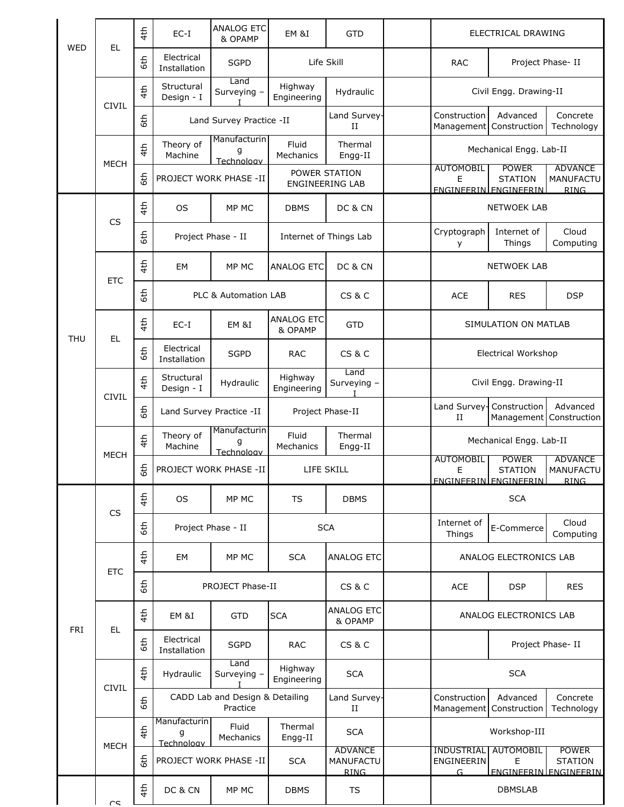| <b>WED</b> | <b>EL</b>    | 4th             | $EC-I$                          | <b>ANALOG ETC</b><br>& OPAMP                | EM &I                                   | <b>GTD</b>                                        | ELECTRICAL DRAWING                                                 |                                                                |                                                         |
|------------|--------------|-----------------|---------------------------------|---------------------------------------------|-----------------------------------------|---------------------------------------------------|--------------------------------------------------------------------|----------------------------------------------------------------|---------------------------------------------------------|
|            |              | 6th             | Electrical<br>Installation      | <b>SGPD</b>                                 | Life Skill                              |                                                   | <b>RAC</b>                                                         | Project Phase- II                                              |                                                         |
|            | <b>CIVIL</b> | 4th             | Structural<br>Design - I        | Land<br>Surveying -                         | Highway<br>Engineering                  | Hydraulic                                         | Civil Engg. Drawing-II                                             |                                                                |                                                         |
|            |              | 6th             | Land Survey Practice -II        |                                             | Land Survey-<br>$_{\rm II}$             |                                                   | Construction<br>Management                                         | Advanced<br>Construction                                       | Concrete<br>Technology                                  |
|            | <b>MECH</b>  | 4th             | Theory of<br>Machine            | Manufacturin<br>q<br>Technology             | Fluid<br>Mechanics                      | Thermal<br>Engg-II                                | Mechanical Engg. Lab-II                                            |                                                                |                                                         |
|            |              | 6th             | PROJECT WORK PHASE -II          |                                             | POWER STATION<br><b>ENGINEERING LAB</b> |                                                   | <b>AUTOMOBIL</b><br>Е                                              | <b>POWER</b><br><b>STATION</b><br><b>ENGINEERIN ENGINEERIN</b> | <b>ADVANCE</b><br>MANUFACTU<br><b>RING</b>              |
|            |              | 4th             | <b>OS</b>                       | MP MC                                       | <b>DBMS</b>                             | DC & CN                                           |                                                                    | <b>NETWOEK LAB</b>                                             |                                                         |
|            | <b>CS</b>    | 6th             | Project Phase - II              |                                             | Internet of Things Lab                  |                                                   | Cryptograph<br>y                                                   | Internet of<br>Things                                          | Cloud<br>Computing                                      |
|            | <b>ETC</b>   | 4th             | EM                              | MP MC                                       | <b>ANALOG ETC</b>                       | DC & CN                                           |                                                                    | <b>NETWOEK LAB</b>                                             |                                                         |
|            |              | 6th             |                                 | PLC & Automation LAB                        |                                         | <b>CS &amp; C</b>                                 | <b>ACE</b>                                                         | <b>RES</b>                                                     | <b>DSP</b>                                              |
|            |              | 4th             | $EC-I$                          | EM &I                                       | <b>ANALOG ETC</b><br>& OPAMP            | <b>GTD</b>                                        |                                                                    | SIMULATION ON MATLAB                                           |                                                         |
| <b>THU</b> | EL           | 6th             | Electrical<br>Installation      | <b>SGPD</b>                                 | <b>RAC</b>                              | CS&C                                              | <b>Electrical Workshop</b>                                         |                                                                |                                                         |
|            |              | 4th             | Structural<br>Design - I        | Hydraulic                                   | Highway<br>Engineering                  | Land<br>Surveying -                               | Civil Engg. Drawing-II                                             |                                                                |                                                         |
|            | <b>CIVIL</b> | 6th             |                                 | Land Survey Practice -II                    | Project Phase-II                        |                                                   | Land Survey-<br>П                                                  | Construction                                                   | Advanced<br>Management Construction                     |
|            | <b>MECH</b>  | 4th             | Theory of<br>Machine            | Manufacturin<br>q<br>Technology             | Fluid<br>Mechanics                      | Thermal<br>Engg-II                                | Mechanical Engg. Lab-II                                            |                                                                |                                                         |
|            |              | 6th             | PROJECT WORK PHASE -II          |                                             | LIFE SKILL                              |                                                   | <b>AUTOMOBIL</b><br>Е                                              | <b>POWER</b><br><b>STATION</b><br>ENGINEERIN ENGINEERIN        | <b>ADVANCE</b><br>MANUFACTU<br><b>RING</b>              |
|            | <b>CS</b>    | 4th             | <b>OS</b>                       | MP MC                                       | TS                                      | <b>DBMS</b>                                       |                                                                    | <b>SCA</b>                                                     |                                                         |
|            |              | 6th             | Project Phase - II              |                                             | <b>SCA</b>                              |                                                   | Cloud<br>Internet of<br>E-Commerce<br>Things                       |                                                                | Computing                                               |
|            | <b>ETC</b>   | 4th             | EM                              | MP MC                                       | <b>SCA</b>                              | <b>ANALOG ETC</b>                                 |                                                                    | ANALOG ELECTRONICS LAB                                         |                                                         |
|            |              | 6th             |                                 | PROJECT Phase-II                            |                                         | <b>CS &amp; C</b>                                 | <b>ACE</b>                                                         | <b>DSP</b>                                                     | <b>RES</b>                                              |
|            |              | 4th             | EM &I                           | <b>GTD</b>                                  | <b>SCA</b>                              | ANALOG ETC<br>& OPAMP                             |                                                                    | ANALOG ELECTRONICS LAB                                         |                                                         |
| <b>FRI</b> | EL.          | 6th             | Electrical<br>Installation      | <b>SGPD</b>                                 | <b>RAC</b>                              | CS&C                                              |                                                                    | Project Phase- II                                              |                                                         |
|            |              | 4 <sup>th</sup> | Hydraulic                       | Land<br>Surveying -                         | Highway<br>Engineering                  | <b>SCA</b>                                        | <b>SCA</b>                                                         |                                                                |                                                         |
|            | <b>CIVIL</b> | 6th             |                                 | CADD Lab and Design & Detailing<br>Practice |                                         | Land Survey-<br>$_{\rm II}$                       | Advanced<br>Concrete<br>Construction<br>Construction<br>Management |                                                                | Technology                                              |
|            | <b>MECH</b>  | 4th             | Manufacturin<br>g<br>Technology | Fluid<br>Mechanics                          | Thermal<br>Engg-II                      | <b>SCA</b>                                        |                                                                    | Workshop-III                                                   |                                                         |
|            |              | 6th             |                                 | PROJECT WORK PHASE -II                      | <b>SCA</b>                              | <b>ADVANCE</b><br><b>MANUFACTU</b><br><b>RING</b> | <b>INDUSTRIAL</b><br>ENGINEERIN<br>G                               | <b>AUTOMOBIL</b><br>E                                          | <b>POWER</b><br><b>STATION</b><br>ENGINEERIN ENGINEERIN |
|            | $\sim$       | 4th             | DC & CN                         | MP MC                                       | <b>DBMS</b>                             | <b>TS</b>                                         |                                                                    | <b>DBMSLAB</b>                                                 |                                                         |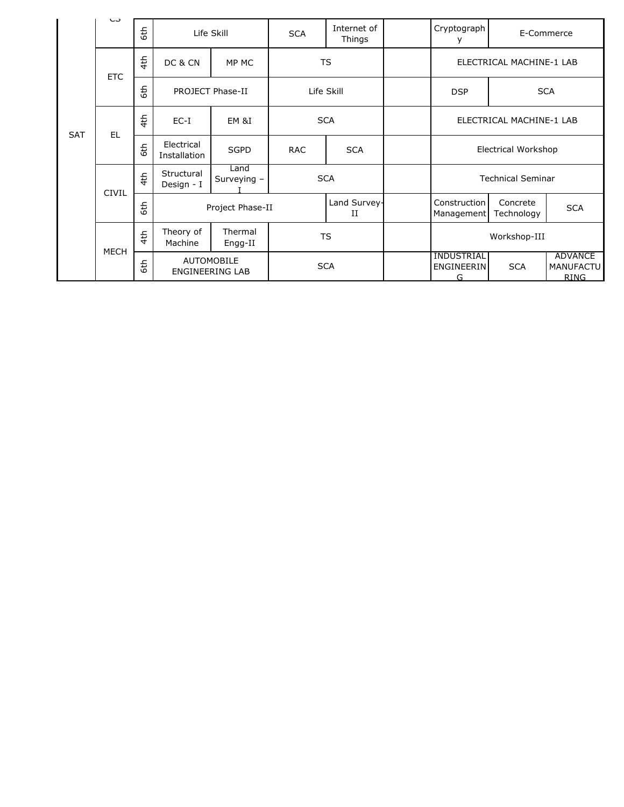|            | دب           | $\frac{4}{5}$ | Life Skill                                  |                     | <b>SCA</b> | Internet of<br>Things     |                          | Cryptograph<br>у                     |                          | E-Commerce                                        |
|------------|--------------|---------------|---------------------------------------------|---------------------|------------|---------------------------|--------------------------|--------------------------------------|--------------------------|---------------------------------------------------|
| <b>SAT</b> | <b>ETC</b>   | 4th           | DC & CN                                     | MP MC               |            | <b>TS</b>                 |                          | ELECTRICAL MACHINE-1 LAB             |                          |                                                   |
|            |              | 6th           | PROJECT Phase-II                            |                     | Life Skill |                           |                          | <b>DSP</b>                           |                          | <b>SCA</b>                                        |
|            | <b>EL</b>    | 4th           | $EC-I$                                      | EM &I               | <b>SCA</b> |                           | ELECTRICAL MACHINE-1 LAB |                                      |                          |                                                   |
|            |              | 6th           | Electrical<br>Installation                  | <b>SGPD</b>         | <b>RAC</b> | <b>SCA</b>                |                          | Electrical Workshop                  |                          |                                                   |
|            | <b>CIVIL</b> | 4th           | Structural<br>Design - I                    | Land<br>Surveying - |            | <b>SCA</b>                |                          |                                      | <b>Technical Seminar</b> |                                                   |
|            |              | 6th           | Project Phase-II                            |                     |            | Land Survey-<br>п         |                          | Construction<br>Management           | Concrete<br>Technology   | <b>SCA</b>                                        |
|            | <b>MECH</b>  | 4th           | Theory of<br>Machine                        | Thermal<br>Engg-II  |            | <b>TS</b><br>Workshop-III |                          |                                      |                          |                                                   |
|            |              | 6th           | <b>AUTOMOBILE</b><br><b>ENGINEERING LAB</b> |                     | <b>SCA</b> |                           |                          | <b>INDUSTRIAL</b><br>ENGINEERIN<br>G | <b>SCA</b>               | <b>ADVANCE</b><br><b>MANUFACTU</b><br><b>RING</b> |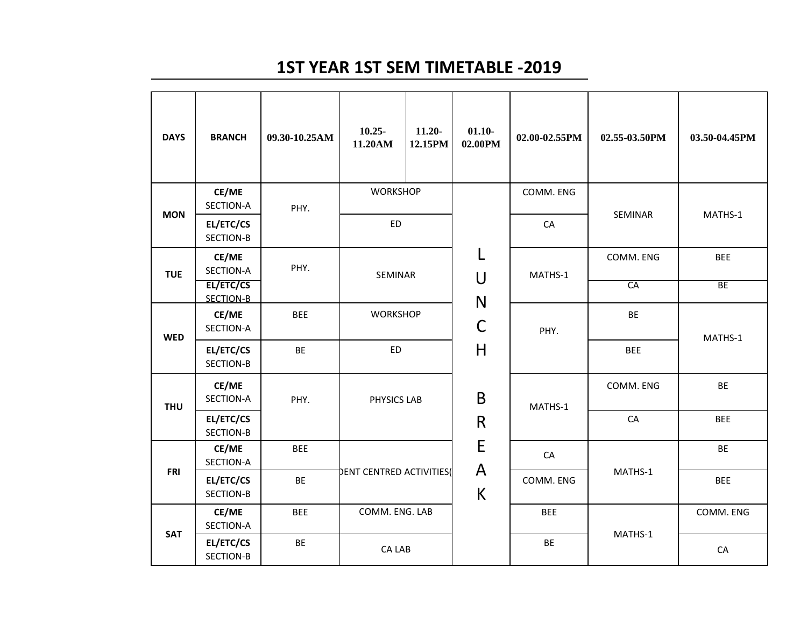## **1ST YEAR 1ST SEM TIMETABLE -2019**

| <b>DAYS</b> | <b>BRANCH</b>          | 09.30-10.25AM | $10.25 -$<br>11.20AM           | $11.20 -$<br>12.15PM | $01.10 -$<br>02.00PM | 02.00-02.55PM | 02.55-03.50PM | 03.50-04.45PM |  |
|-------------|------------------------|---------------|--------------------------------|----------------------|----------------------|---------------|---------------|---------------|--|
| <b>MON</b>  | CE/ME<br>SECTION-A     | PHY.          | <b>WORKSHOP</b><br><b>ED</b>   |                      |                      | COMM. ENG     | SEMINAR       | MATHS-1       |  |
|             | EL/ETC/CS<br>SECTION-B |               |                                |                      |                      | CA            |               |               |  |
| <b>TUE</b>  | CE/ME<br>SECTION-A     | PHY.          | SEMINAR                        |                      | U                    | MATHS-1       | COMM. ENG     | <b>BEE</b>    |  |
|             | EL/ETC/CS<br>SECTION-B |               |                                |                      | N                    |               | CA            | BE            |  |
| <b>WED</b>  | CE/ME<br>SECTION-A     | <b>BEE</b>    | <b>WORKSHOP</b>                |                      | C                    | PHY.          | BE            | MATHS-1       |  |
|             | EL/ETC/CS<br>SECTION-B | <b>BE</b>     | <b>ED</b>                      |                      | H                    |               | <b>BEE</b>    |               |  |
| <b>THU</b>  | CE/ME<br>SECTION-A     | PHY.          | PHYSICS LAB                    |                      | B                    | MATHS-1       | COMM. ENG     | <b>BE</b>     |  |
|             | EL/ETC/CS<br>SECTION-B |               |                                |                      | $\mathsf{R}$         |               | CA            | <b>BEE</b>    |  |
|             | CE/ME<br>SECTION-A     | <b>BEE</b>    | <b>DENT CENTRED ACTIVITIES</b> |                      | E                    | CA            |               | <b>BE</b>     |  |
| <b>FRI</b>  | EL/ETC/CS<br>SECTION-B | <b>BE</b>     |                                |                      | A<br>К               | COMM. ENG     | MATHS-1       | <b>BEE</b>    |  |
|             | CE/ME<br>SECTION-A     | <b>BEE</b>    | COMM. ENG. LAB                 |                      |                      | <b>BEE</b>    |               | COMM. ENG     |  |
| <b>SAT</b>  | EL/ETC/CS<br>SECTION-B | <b>BE</b>     | CA LAB                         |                      |                      | <b>BE</b>     | MATHS-1       | CA            |  |